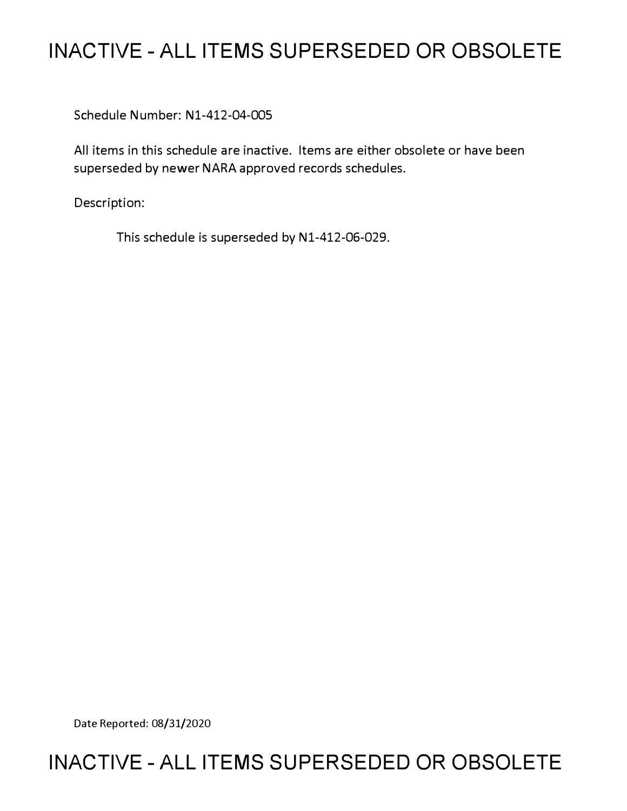# **INACTIVE - ALL ITEMS SUPERSEDED OR OBSOLETE**

Schedule Number: Nl-412-04-005

All items in this schedule are inactive. Items are either obsolete or have been superseded by newer NARA approved records schedules.

Description:

This schedule is superseded by N1-412-06-029.

Date Reported: 08/31/2020

# **INACTIVE - ALL ITEMS SUPERSEDED OR OBSOLETE**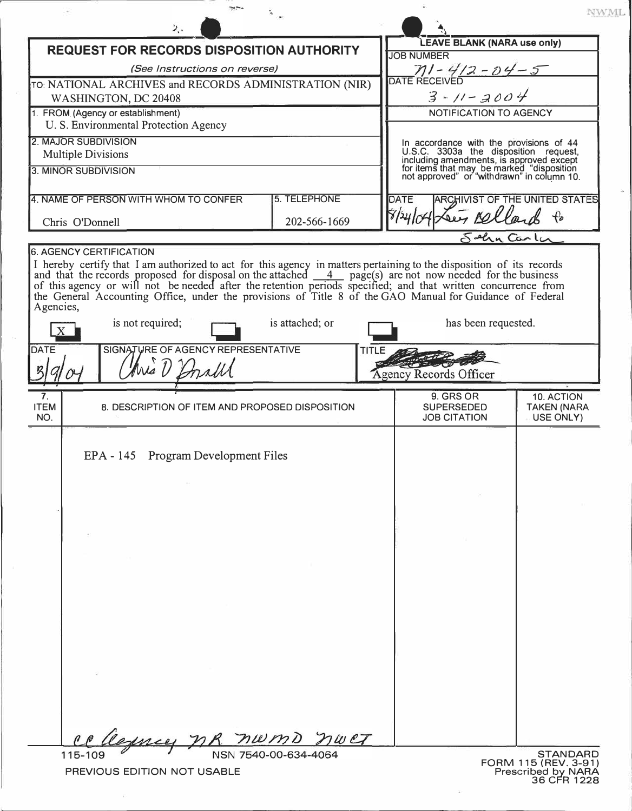|                                                  |                                                                                                                                                                                                                                          |                        |                                                                                                                              |                                                                                         | NWML                            |
|--------------------------------------------------|------------------------------------------------------------------------------------------------------------------------------------------------------------------------------------------------------------------------------------------|------------------------|------------------------------------------------------------------------------------------------------------------------------|-----------------------------------------------------------------------------------------|---------------------------------|
|                                                  | э.,                                                                                                                                                                                                                                      |                        |                                                                                                                              |                                                                                         |                                 |
| <b>REQUEST FOR RECORDS DISPOSITION AUTHORITY</b> |                                                                                                                                                                                                                                          |                        | <b>LEAVE BLANK (NARA use only)</b>                                                                                           |                                                                                         |                                 |
|                                                  | (See Instructions on reverse)                                                                                                                                                                                                            |                        | <b>JOB NUMBER</b>                                                                                                            |                                                                                         |                                 |
|                                                  | TO: NATIONAL ARCHIVES and RECORDS ADMINISTRATION (NIR)                                                                                                                                                                                   |                        |                                                                                                                              | $M - 4/2 - 04 - 5$<br>DATE RECEIVED                                                     |                                 |
| WASHINGTON, DC 20408                             |                                                                                                                                                                                                                                          |                        |                                                                                                                              | $3 - 11 - 2004$                                                                         |                                 |
| 1. FROM (Agency or establishment)                |                                                                                                                                                                                                                                          |                        | NOTIFICATION TO AGENCY                                                                                                       |                                                                                         |                                 |
| U. S. Environmental Protection Agency            |                                                                                                                                                                                                                                          |                        |                                                                                                                              |                                                                                         |                                 |
| 2. MAJOR SUBDIVISION                             |                                                                                                                                                                                                                                          |                        |                                                                                                                              |                                                                                         |                                 |
| <b>Multiple Divisions</b>                        |                                                                                                                                                                                                                                          |                        | In accordance with the provisions of 44<br>U.S.C. 3303a the disposition request,<br>including amendments, is approved except |                                                                                         |                                 |
| 3. MINOR SUBDIVISION                             |                                                                                                                                                                                                                                          |                        |                                                                                                                              | for items that may be marked "disposition<br>not approved" or "withdrawn" in column 10. |                                 |
|                                                  |                                                                                                                                                                                                                                          | 5. TELEPHONE           |                                                                                                                              |                                                                                         |                                 |
| 4. NAME OF PERSON WITH WHOM TO CONFER            |                                                                                                                                                                                                                                          |                        | <b>ARCHIVIST OF THE UNITED STATES</b><br><b>DATE</b>                                                                         |                                                                                         |                                 |
| 202-566-1669<br>Chris O'Donnell                  |                                                                                                                                                                                                                                          |                        | 8440                                                                                                                         | sey Bell                                                                                |                                 |
|                                                  |                                                                                                                                                                                                                                          |                        |                                                                                                                              | Sehn Carler                                                                             |                                 |
| <b>6. AGENCY CERTIFICATION</b>                   |                                                                                                                                                                                                                                          |                        |                                                                                                                              |                                                                                         |                                 |
|                                                  |                                                                                                                                                                                                                                          |                        |                                                                                                                              |                                                                                         |                                 |
|                                                  | I hereby certify that I am authorized to act for this agency in matters pertaining to the disposition of its records<br>and that the records proposed for disposal on the attached $\frac{4}{\sqrt{2}}$ page(s) are not now needed for t |                        |                                                                                                                              |                                                                                         |                                 |
|                                                  | the General Accounting Office, under the provisions of Title 8 of the GAO Manual for Guidance of Federal                                                                                                                                 |                        |                                                                                                                              |                                                                                         |                                 |
| Agencies,                                        |                                                                                                                                                                                                                                          | is attached; or        |                                                                                                                              | has been requested.                                                                     |                                 |
|                                                  | is not required;                                                                                                                                                                                                                         |                        |                                                                                                                              |                                                                                         |                                 |
| <b>DATE</b>                                      | SIGNATURE OF AGENCY REPRESENTATIVE                                                                                                                                                                                                       | TITLE                  |                                                                                                                              |                                                                                         |                                 |
|                                                  | Mis D                                                                                                                                                                                                                                    |                        |                                                                                                                              |                                                                                         |                                 |
|                                                  |                                                                                                                                                                                                                                          |                        |                                                                                                                              | <b>Agency Records Officer</b>                                                           |                                 |
|                                                  |                                                                                                                                                                                                                                          |                        |                                                                                                                              |                                                                                         |                                 |
|                                                  |                                                                                                                                                                                                                                          |                        |                                                                                                                              | 9. GRS OR                                                                               | 10. ACTION                      |
|                                                  | 8. DESCRIPTION OF ITEM AND PROPOSED DISPOSITION                                                                                                                                                                                          |                        |                                                                                                                              | <b>SUPERSEDED</b><br><b>JOB CITATION</b>                                                | <b>TAKEN (NARA</b><br>USE ONLY) |
|                                                  |                                                                                                                                                                                                                                          |                        |                                                                                                                              |                                                                                         |                                 |
|                                                  |                                                                                                                                                                                                                                          |                        |                                                                                                                              |                                                                                         |                                 |
|                                                  | EPA - 145 Program Development Files                                                                                                                                                                                                      |                        |                                                                                                                              |                                                                                         |                                 |
|                                                  |                                                                                                                                                                                                                                          |                        |                                                                                                                              |                                                                                         |                                 |
|                                                  |                                                                                                                                                                                                                                          |                        |                                                                                                                              |                                                                                         |                                 |
|                                                  |                                                                                                                                                                                                                                          |                        |                                                                                                                              |                                                                                         |                                 |
|                                                  |                                                                                                                                                                                                                                          |                        |                                                                                                                              |                                                                                         |                                 |
|                                                  |                                                                                                                                                                                                                                          |                        |                                                                                                                              |                                                                                         |                                 |
|                                                  |                                                                                                                                                                                                                                          |                        |                                                                                                                              |                                                                                         |                                 |
|                                                  |                                                                                                                                                                                                                                          |                        |                                                                                                                              |                                                                                         |                                 |
|                                                  |                                                                                                                                                                                                                                          |                        |                                                                                                                              |                                                                                         |                                 |
|                                                  |                                                                                                                                                                                                                                          |                        |                                                                                                                              |                                                                                         |                                 |
|                                                  |                                                                                                                                                                                                                                          |                        |                                                                                                                              |                                                                                         |                                 |
|                                                  |                                                                                                                                                                                                                                          |                        |                                                                                                                              |                                                                                         |                                 |
|                                                  |                                                                                                                                                                                                                                          |                        |                                                                                                                              |                                                                                         |                                 |
|                                                  |                                                                                                                                                                                                                                          |                        |                                                                                                                              |                                                                                         |                                 |
|                                                  |                                                                                                                                                                                                                                          |                        |                                                                                                                              |                                                                                         |                                 |
| 7.<br><b>ITEM</b><br>NO.                         |                                                                                                                                                                                                                                          |                        |                                                                                                                              |                                                                                         |                                 |
|                                                  |                                                                                                                                                                                                                                          |                        |                                                                                                                              |                                                                                         |                                 |
|                                                  | may                                                                                                                                                                                                                                      | $7w$ $c$ $\mathcal{T}$ |                                                                                                                              |                                                                                         |                                 |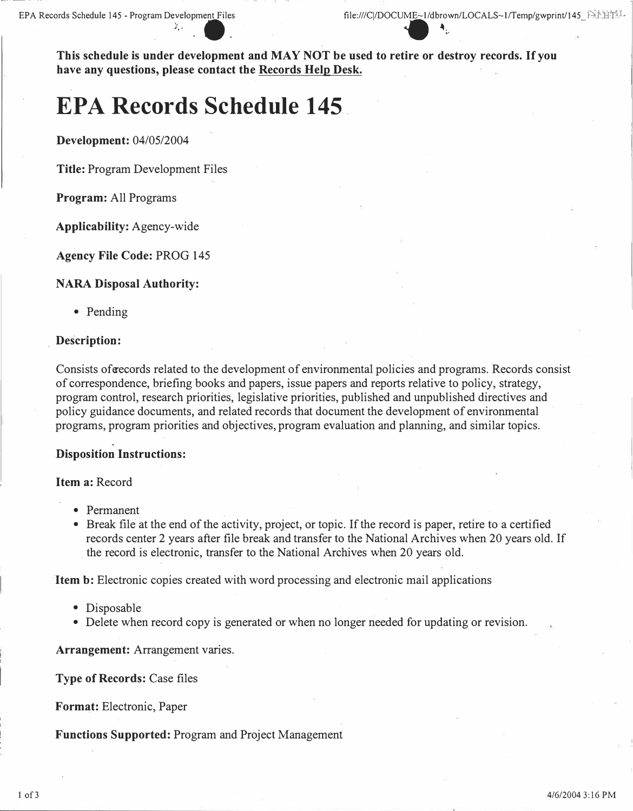File:///C|/DOCUME~1/dbrown/LOCALS~1/Temp/gwpring<br>
File:///C|/DOCUME~1/dbrown/LOCALS~1/Temp/gwpring<br> **This schedule is under development and MAY NOT be used to retire or destroy records. If you have any questions, please contact the Records Help Desk.** 

# **EPA Records Schedule 145**

 $\cdot\cdot\cdot$  .

**Development:** 04/05/2004

**Title:** Program Development Files

**Program:** All Programs

**Applicability:** Agency-wide

**Agency File Code:** PROG 145

## **NARA Disposal Authority:**

• Pending

## **Description:**

Consists oferecords related to the development of environmental policies and programs. Records consist of correspondence, briefing books and papers, issue papers and reports relative to policy, strategy, program control, research priorities, legislative priorities, published and unpublished directives and policy guidance documents, and related records that document the development of environmental programs, program priorities and objectives, program evaluation and planning, and similar topics.

#### **Disposition Instructions:**

#### **Item a:** Record

- Permanent
- Break file at the end of the activity, project, or topic. If the record is paper, retire to a certified records center 2 years after file break and transfer to the National Archives when 20 years old. If the record is electronic, transfer to the National Archives when 20 years old.

**Item b:** Electronic copies created with word processing and electronic mail applications

- Disposable
- Delete when record copy is generated or when no longer needed for updating or revision.

**Arrangement:** Arrangement varies.

**Type of Records:** Case files

**Format:** Electronic, Paper

**Functions Supported:** Program and Project Management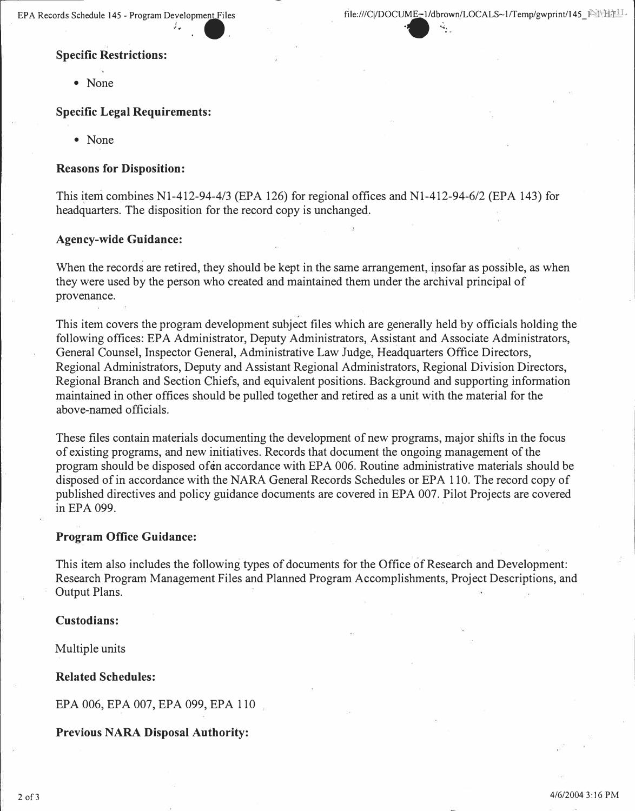#### **Specific Restrictions:**

• None

## **Specific Legal Requirements:**

• None

#### **Reasons for Disposition:**

This item combines N1-412-94-4/3 (EPA 126) for regional offices and N1-412-94-6/2 (EPA 143) for headquarters. The disposition for the record copy is unchanged.

## **Agency-wide Guidance:**

When the records are retired, they should be kept in the same arrangement, insofar as possible, as when they were used by the person who created and maintained them under the archival principal of provenance.

This item covers the program development subject files which are generally held by officials holding the following offices: EPA Administrator, Deputy Administrators, Assistant and Associate Administrators, General Counsel, Inspector General, Administrative Law Judge, Headquarters Office Directors, Regional Administrators, Deputy and Assistant Regional Administrators, Regional Division Directors, Regional Branch and Section Chiefs, and equivalent positions. Background and supporting information maintained in other offices should be pulled together and retired as a unit with the material for the above-named officials.

These files contain materials documenting the development of new programs, major shifts in the focus of existing programs, and new initiatives. Records that document the ongoing management of the program should be disposed of in accordance with EPA 006. Routine administrative materials should be disposed of in accordance with the NARA General Records Schedules or EPA 110. The record copy of published directives and policy guidance documents are covered in EPA 007. Pilot Projects are covered in EPA 099.

#### **Program Office Guidance:**

This item also includes the following types of documents for the Office of Research and Development: Research Program Management Files and Planned Program Accomplishments, Project Descriptions, and Output Plans.

## **Custodians:**

Multiple units

#### **Related Schedules:**

EPA 006, EPA 007, EPA 099, EPA 110

#### **Previous NARA Disposal Authority:**